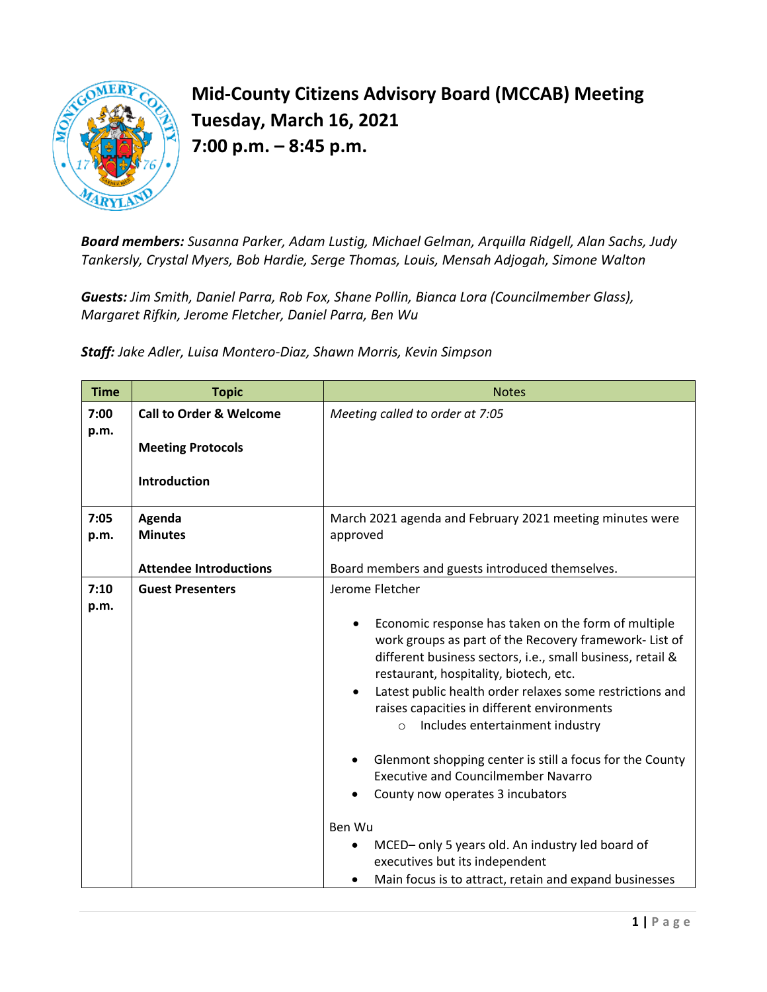

## **Mid-County Citizens Advisory Board (MCCAB) Meeting Tuesday, March 16, 2021 7:00 p.m. – 8:45 p.m.**

*Board members: Susanna Parker, Adam Lustig, Michael Gelman, Arquilla Ridgell, Alan Sachs, Judy Tankersly, Crystal Myers, Bob Hardie, Serge Thomas, Louis, Mensah Adjogah, Simone Walton*

*Guests: Jim Smith, Daniel Parra, Rob Fox, Shane Pollin, Bianca Lora (Councilmember Glass), Margaret Rifkin, Jerome Fletcher, Daniel Parra, Ben Wu*

*Staff: Jake Adler, Luisa Montero-Diaz, Shawn Morris, Kevin Simpson*

| <b>Time</b>  | <b>Topic</b>                                                                   | <b>Notes</b>                                                                                                                                                                                                                                                                                                                                                                                                                                                                                                                                                                                                                                                                                                   |
|--------------|--------------------------------------------------------------------------------|----------------------------------------------------------------------------------------------------------------------------------------------------------------------------------------------------------------------------------------------------------------------------------------------------------------------------------------------------------------------------------------------------------------------------------------------------------------------------------------------------------------------------------------------------------------------------------------------------------------------------------------------------------------------------------------------------------------|
| 7:00<br>p.m. | <b>Call to Order &amp; Welcome</b><br><b>Meeting Protocols</b><br>Introduction | Meeting called to order at 7:05                                                                                                                                                                                                                                                                                                                                                                                                                                                                                                                                                                                                                                                                                |
| 7:05<br>p.m. | Agenda<br><b>Minutes</b><br><b>Attendee Introductions</b>                      | March 2021 agenda and February 2021 meeting minutes were<br>approved<br>Board members and guests introduced themselves.                                                                                                                                                                                                                                                                                                                                                                                                                                                                                                                                                                                        |
| 7:10<br>p.m. | <b>Guest Presenters</b>                                                        | Jerome Fletcher<br>Economic response has taken on the form of multiple<br>work groups as part of the Recovery framework- List of<br>different business sectors, i.e., small business, retail &<br>restaurant, hospitality, biotech, etc.<br>Latest public health order relaxes some restrictions and<br>raises capacities in different environments<br>Includes entertainment industry<br>$\circ$<br>Glenmont shopping center is still a focus for the County<br><b>Executive and Councilmember Navarro</b><br>County now operates 3 incubators<br>Ben Wu<br>MCED- only 5 years old. An industry led board of<br>٠<br>executives but its independent<br>Main focus is to attract, retain and expand businesses |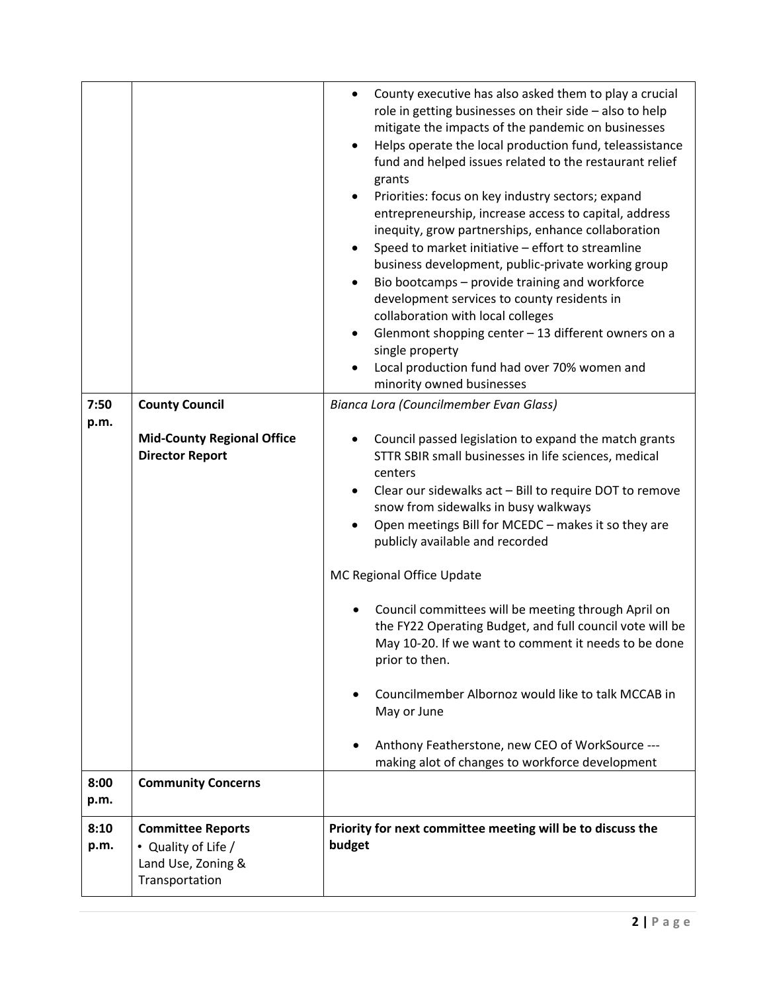|              |                                                                                         | County executive has also asked them to play a crucial<br>role in getting businesses on their side - also to help<br>mitigate the impacts of the pandemic on businesses<br>Helps operate the local production fund, teleassistance<br>$\bullet$<br>fund and helped issues related to the restaurant relief<br>grants<br>Priorities: focus on key industry sectors; expand<br>$\bullet$<br>entrepreneurship, increase access to capital, address<br>inequity, grow partnerships, enhance collaboration<br>Speed to market initiative - effort to streamline<br>business development, public-private working group<br>Bio bootcamps - provide training and workforce<br>$\bullet$<br>development services to county residents in<br>collaboration with local colleges<br>Glenmont shopping center - 13 different owners on a<br>$\bullet$<br>single property<br>Local production fund had over 70% women and<br>minority owned businesses |
|--------------|-----------------------------------------------------------------------------------------|-----------------------------------------------------------------------------------------------------------------------------------------------------------------------------------------------------------------------------------------------------------------------------------------------------------------------------------------------------------------------------------------------------------------------------------------------------------------------------------------------------------------------------------------------------------------------------------------------------------------------------------------------------------------------------------------------------------------------------------------------------------------------------------------------------------------------------------------------------------------------------------------------------------------------------------------|
| 7:50<br>p.m. | <b>County Council</b>                                                                   | Bianca Lora (Councilmember Evan Glass)                                                                                                                                                                                                                                                                                                                                                                                                                                                                                                                                                                                                                                                                                                                                                                                                                                                                                                  |
|              | <b>Mid-County Regional Office</b><br><b>Director Report</b>                             | Council passed legislation to expand the match grants<br>STTR SBIR small businesses in life sciences, medical<br>centers<br>Clear our sidewalks act - Bill to require DOT to remove<br>٠<br>snow from sidewalks in busy walkways<br>Open meetings Bill for MCEDC - makes it so they are<br>publicly available and recorded<br>MC Regional Office Update<br>Council committees will be meeting through April on<br>the FY22 Operating Budget, and full council vote will be<br>May 10-20. If we want to comment it needs to be done<br>prior to then.<br>Councilmember Albornoz would like to talk MCCAB in<br>May or June<br>Anthony Featherstone, new CEO of WorkSource ---<br>making alot of changes to workforce development                                                                                                                                                                                                         |
| 8:00<br>p.m. | <b>Community Concerns</b>                                                               |                                                                                                                                                                                                                                                                                                                                                                                                                                                                                                                                                                                                                                                                                                                                                                                                                                                                                                                                         |
| 8:10<br>p.m. | <b>Committee Reports</b><br>• Quality of Life /<br>Land Use, Zoning &<br>Transportation | Priority for next committee meeting will be to discuss the<br>budget                                                                                                                                                                                                                                                                                                                                                                                                                                                                                                                                                                                                                                                                                                                                                                                                                                                                    |